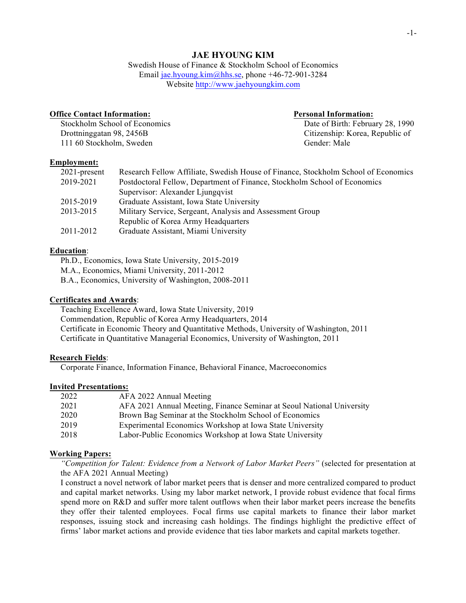# **JAE HYOUNG KIM**

Swedish House of Finance & Stockholm School of Economics Email jae.hyoung.kim@hhs.se, phone +46-72-901-3284 Website http://www.jaehyoungkim.com

## **Office Contact Information: Personal Information:**

Drottninggatan 98, 2456B Citizenship: Korea, Republic of 111 60 Stockholm, Sweden Gender: Male

Stockholm School of Economics Date of Birth: February 28, 1990

# **Employment:**

| $2021$ -present | Research Fellow Affiliate, Swedish House of Finance, Stockholm School of Economics |
|-----------------|------------------------------------------------------------------------------------|
| 2019-2021       | Postdoctoral Fellow, Department of Finance, Stockholm School of Economics          |
|                 | Supervisor: Alexander Ljungqvist                                                   |
| 2015-2019       | Graduate Assistant, Iowa State University                                          |
| 2013-2015       | Military Service, Sergeant, Analysis and Assessment Group                          |
|                 | Republic of Korea Army Headquarters                                                |
| 2011-2012       | Graduate Assistant, Miami University                                               |
|                 |                                                                                    |

## **Education**:

Ph.D., Economics, Iowa State University, 2015-2019

M.A., Economics, Miami University, 2011-2012

B.A., Economics, University of Washington, 2008-2011

## **Certificates and Awards**:

Teaching Excellence Award, Iowa State University, 2019 Commendation, Republic of Korea Army Headquarters, 2014 Certificate in Economic Theory and Quantitative Methods, University of Washington, 2011 Certificate in Quantitative Managerial Economics, University of Washington, 2011

#### **Research Fields**:

Corporate Finance, Information Finance, Behavioral Finance, Macroeconomics

## **Invited Presentations:**

| 2022 | AFA 2022 Annual Meeting                                               |
|------|-----------------------------------------------------------------------|
| 2021 | AFA 2021 Annual Meeting, Finance Seminar at Seoul National University |
| 2020 | Brown Bag Seminar at the Stockholm School of Economics                |
| 2019 | Experimental Economics Workshop at Iowa State University              |
| 2018 | Labor-Public Economics Workshop at Iowa State University              |

# **Working Papers:**

*"Competition for Talent: Evidence from a Network of Labor Market Peers"* (selected for presentation at the AFA 2021 Annual Meeting)

I construct a novel network of labor market peers that is denser and more centralized compared to product and capital market networks. Using my labor market network, I provide robust evidence that focal firms spend more on R&D and suffer more talent outflows when their labor market peers increase the benefits they offer their talented employees. Focal firms use capital markets to finance their labor market responses, issuing stock and increasing cash holdings. The findings highlight the predictive effect of firms' labor market actions and provide evidence that ties labor markets and capital markets together.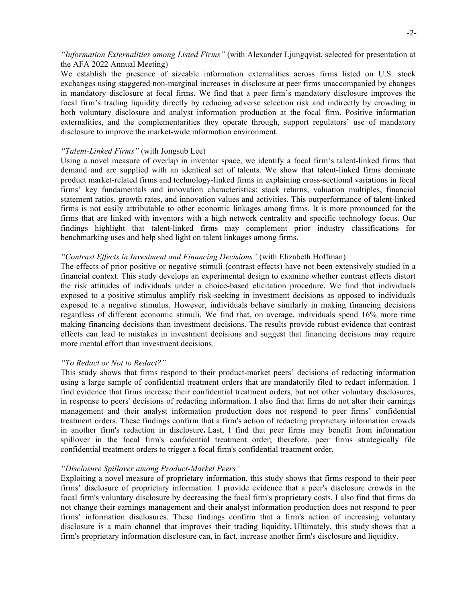# *"Information Externalities among Listed Firms"* (with Alexander Ljungqvist, selected for presentation at the AFA 2022 Annual Meeting)

We establish the presence of sizeable information externalities across firms listed on U.S. stock exchanges using staggered non-marginal increases in disclosure at peer firms unaccompanied by changes in mandatory disclosure at focal firms. We find that a peer firm's mandatory disclosure improves the focal firm's trading liquidity directly by reducing adverse selection risk and indirectly by crowding in both voluntary disclosure and analyst information production at the focal firm. Positive information externalities, and the complementarities they operate through, support regulators' use of mandatory disclosure to improve the market-wide information environment.

# *"Talent-Linked Firms"* (with Jongsub Lee)

Using a novel measure of overlap in inventor space, we identify a focal firm's talent-linked firms that demand and are supplied with an identical set of talents. We show that talent-linked firms dominate product market-related firms and technology-linked firms in explaining cross-sectional variations in focal firms' key fundamentals and innovation characteristics: stock returns, valuation multiples, financial statement ratios, growth rates, and innovation values and activities. This outperformance of talent-linked firms is not easily attributable to other economic linkages among firms. It is more pronounced for the firms that are linked with inventors with a high network centrality and specific technology focus. Our findings highlight that talent-linked firms may complement prior industry classifications for benchmarking uses and help shed light on talent linkages among firms.

# *"Contrast Effects in Investment and Financing Decisions"* (with Elizabeth Hoffman)

The effects of prior positive or negative stimuli (contrast effects) have not been extensively studied in a financial context. This study develops an experimental design to examine whether contrast effects distort the risk attitudes of individuals under a choice-based elicitation procedure. We find that individuals exposed to a positive stimulus amplify risk-seeking in investment decisions as opposed to individuals exposed to a negative stimulus. However, individuals behave similarly in making financing decisions regardless of different economic stimuli. We find that, on average, individuals spend 16% more time making financing decisions than investment decisions. The results provide robust evidence that contrast effects can lead to mistakes in investment decisions and suggest that financing decisions may require more mental effort than investment decisions.

# *"To Redact or Not to Redact?"*

This study shows that firms respond to their product-market peers' decisions of redacting information using a large sample of confidential treatment orders that are mandatorily filed to redact information. I find evidence that firms increase their confidential treatment orders, but not other voluntary disclosures, in response to peers' decisions of redacting information. I also find that firms do not alter their earnings management and their analyst information production does not respond to peer firms' confidential treatment orders. These findings confirm that a firm's action of redacting proprietary information crowds in another firm's redaction in disclosure**.** Last, I find that peer firms may benefit from information spillover in the focal firm's confidential treatment order; therefore, peer firms strategically file confidential treatment orders to trigger a focal firm's confidential treatment order.

## *"Disclosure Spillover among Product-Market Peers"*

Exploiting a novel measure of proprietary information, this study shows that firms respond to their peer firms' disclosure of proprietary information. I provide evidence that a peer's disclosure crowds in the focal firm's voluntary disclosure by decreasing the focal firm's proprietary costs. I also find that firms do not change their earnings management and their analyst information production does not respond to peer firms' information disclosures. These findings confirm that a firm's action of increasing voluntary disclosure is a main channel that improves their trading liquidity**.** Ultimately, this study shows that a firm's proprietary information disclosure can, in fact, increase another firm's disclosure and liquidity.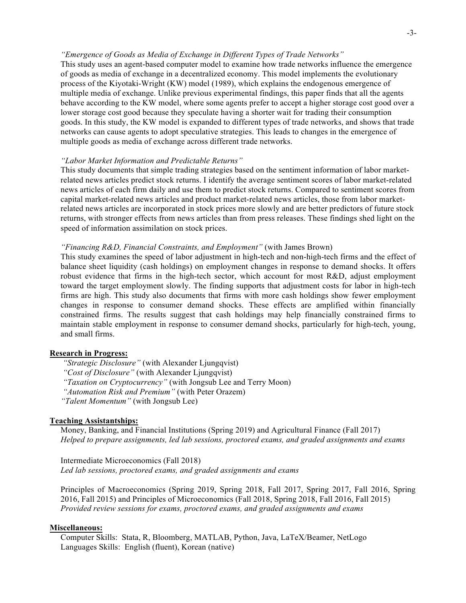## *"Emergence of Goods as Media of Exchange in Different Types of Trade Networks"*

This study uses an agent-based computer model to examine how trade networks influence the emergence of goods as media of exchange in a decentralized economy. This model implements the evolutionary process of the Kiyotaki-Wright (KW) model (1989), which explains the endogenous emergence of multiple media of exchange. Unlike previous experimental findings, this paper finds that all the agents behave according to the KW model, where some agents prefer to accept a higher storage cost good over a lower storage cost good because they speculate having a shorter wait for trading their consumption goods. In this study, the KW model is expanded to different types of trade networks, and shows that trade networks can cause agents to adopt speculative strategies. This leads to changes in the emergence of multiple goods as media of exchange across different trade networks.

## *"Labor Market Information and Predictable Returns"*

This study documents that simple trading strategies based on the sentiment information of labor marketrelated news articles predict stock returns. I identify the average sentiment scores of labor market-related news articles of each firm daily and use them to predict stock returns. Compared to sentiment scores from capital market-related news articles and product market-related news articles, those from labor marketrelated news articles are incorporated in stock prices more slowly and are better predictors of future stock returns, with stronger effects from news articles than from press releases. These findings shed light on the speed of information assimilation on stock prices.

# *"Financing R&D, Financial Constraints, and Employment"* (with James Brown)

This study examines the speed of labor adjustment in high-tech and non-high-tech firms and the effect of balance sheet liquidity (cash holdings) on employment changes in response to demand shocks. It offers robust evidence that firms in the high-tech sector, which account for most R&D, adjust employment toward the target employment slowly. The finding supports that adjustment costs for labor in high-tech firms are high. This study also documents that firms with more cash holdings show fewer employment changes in response to consumer demand shocks. These effects are amplified within financially constrained firms. The results suggest that cash holdings may help financially constrained firms to maintain stable employment in response to consumer demand shocks, particularly for high-tech, young, and small firms.

## **Research in Progress:**

*"Strategic Disclosure"* (with Alexander Ljungqvist) *"Cost of Disclosure"* (with Alexander Ljungqvist) *"Taxation on Cryptocurrency"* (with Jongsub Lee and Terry Moon) *"Automation Risk and Premium"* (with Peter Orazem) *"Talent Momentum"* (with Jongsub Lee)

#### **Teaching Assistantships:**

Money, Banking, and Financial Institutions (Spring 2019) and Agricultural Finance (Fall 2017) *Helped to prepare assignments, led lab sessions, proctored exams, and graded assignments and exams*

Intermediate Microeconomics (Fall 2018) *Led lab sessions, proctored exams, and graded assignments and exams*

Principles of Macroeconomics (Spring 2019, Spring 2018, Fall 2017, Spring 2017, Fall 2016, Spring 2016, Fall 2015) and Principles of Microeconomics (Fall 2018, Spring 2018, Fall 2016, Fall 2015) *Provided review sessions for exams, proctored exams, and graded assignments and exams*

## **Miscellaneous:**

Computer Skills: Stata, R, Bloomberg, MATLAB, Python, Java, LaTeX/Beamer, NetLogo Languages Skills: English (fluent), Korean (native)